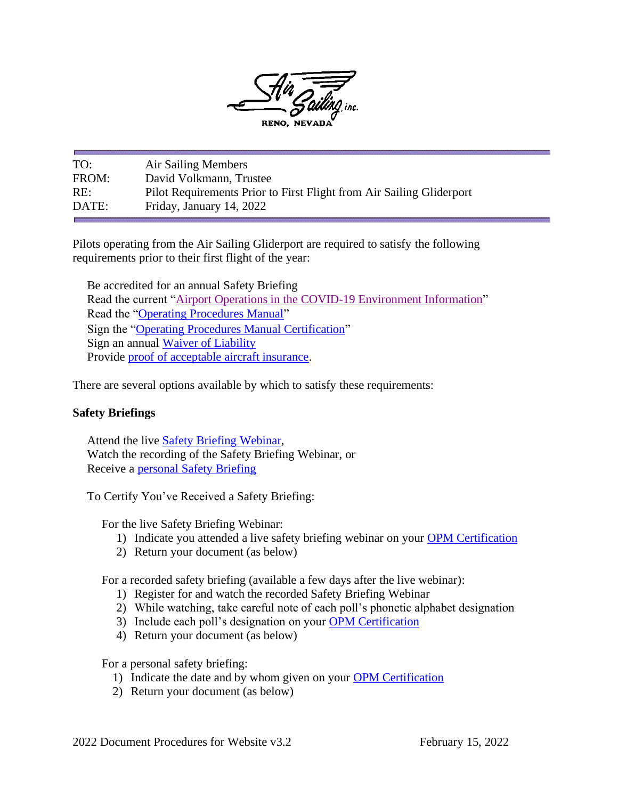

TO: Air Sailing Members FROM: David Volkmann, Trustee RE: Pilot Requirements Prior to First Flight from Air Sailing Gliderport DATE: Friday, January 14, 2022

Pilots operating from the Air Sailing Gliderport are required to satisfy the following requirements prior to their first flight of the year:

Be accredited for an annual Safety Briefing Read the current ["Airport Operations in the COVID-19 Environment Information"](http://airsailing.org/downloads/covid%20pdfs/CurrentCOVIDinfo.pdf) Read the ["Operating Procedures Manual"](http://airsailing.org/downloads/2022/2022%20Operating%20Procedures%20Manual%20R46.1.pdf) Sign the ["Operating Procedures Manual Certification"](http://airsailing.org/downloads/covid%20pdfs/OPMCertification%20(1).pdf) Sign an annual [Waiver of Liability](http://airsailing.org/downloads/2021/ASIWaiver.pdf) Provide [proof of acceptable aircraft insurance.](http://airsailing.org/downloads/RulesInsurance2015.pdf)

There are several options available by which to satisfy these requirements:

# **Safety Briefings**

Attend the live [Safety Briefing Webinar,](http://airsailing.org/downloads/covid%20pdfs/2022%20SB%20Mass%20E-Mail%20Invitation%20v1.0.pdf) Watch the recording of the Safety Briefing Webinar, or Receive a [personal Safety Briefing](http://airsailing.org/downloads/2021/FlightSafetyBriefers.pdf)

To Certify You've Received a Safety Briefing:

For the live Safety Briefing Webinar:

- 1) Indicate you attended a live safety briefing webinar on your [OPM Certification](http://airsailing.org/downloads/covid%20pdfs/OPMCertification%20(1).pdf)
- 2) Return your document (as below)

For a recorded safety briefing (available a few days after the live webinar):

- 1) Register for and watch the recorded Safety Briefing Webinar
- 2) While watching, take careful note of each poll's phonetic alphabet designation
- 3) Include each poll's designation on your [OPM Certification](http://airsailing.org/downloads/covid%20pdfs/OPMCertification%20(1).pdf)
- 4) Return your document (as below)

For a personal safety briefing:

- 1) Indicate the date and by whom given on your [OPM Certification](http://airsailing.org/downloads/covid%20pdfs/OPMCertification%20(1).pdf)
- 2) Return your document (as below)